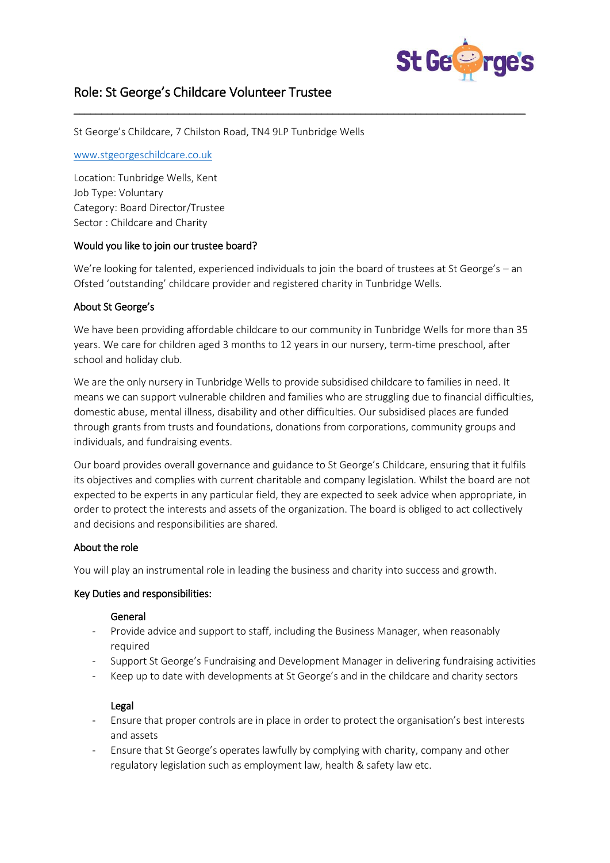

# Role: St George's Childcare Volunteer Trustee

St George's Childcare, 7 Chilston Road, TN4 9LP Tunbridge Wells

#### [www.stgeorgeschildcare.co.uk](http://www.stgeorgeschildcare.co.uk/)

Location: Tunbridge Wells, Kent Job Type: Voluntary Category: Board Director/Trustee Sector : Childcare and Charity

## Would you like to join our trustee board?

We're looking for talented, experienced individuals to join the board of trustees at St George's – an Ofsted 'outstanding' childcare provider and registered charity in Tunbridge Wells.

\_\_\_\_\_\_\_\_\_\_\_\_\_\_\_\_\_\_\_\_\_\_\_\_\_\_\_\_\_\_\_\_\_\_\_\_\_\_\_\_\_\_\_\_\_\_\_\_\_\_\_\_\_\_\_\_\_\_\_\_\_\_\_\_\_\_\_\_\_\_\_\_\_\_\_\_\_\_\_\_\_\_

## About St George's

We have been providing affordable childcare to our community in Tunbridge Wells for more than 35 years. We care for children aged 3 months to 12 years in our nursery, term-time preschool, after school and holiday club.

We are the only nursery in Tunbridge Wells to provide subsidised childcare to families in need. It means we can support vulnerable children and families who are struggling due to financial difficulties, domestic abuse, mental illness, disability and other difficulties. Our subsidised places are funded through grants from trusts and foundations, donations from corporations, community groups and individuals, and fundraising events.

Our board provides overall governance and guidance to St George's Childcare, ensuring that it fulfils its objectives and complies with current charitable and company legislation. Whilst the board are not expected to be experts in any particular field, they are expected to seek advice when appropriate, in order to protect the interests and assets of the organization. The board is obliged to act collectively and decisions and responsibilities are shared.

# About the role

You will play an instrumental role in leading the business and charity into success and growth.

#### Key Duties and responsibilities:

#### General

- Provide advice and support to staff, including the Business Manager, when reasonably required
- Support St George's Fundraising and Development Manager in delivering fundraising activities
- Keep up to date with developments at St George's and in the childcare and charity sectors

#### Legal

- Ensure that proper controls are in place in order to protect the organisation's best interests and assets
- Ensure that St George's operates lawfully by complying with charity, company and other regulatory legislation such as employment law, health & safety law etc.